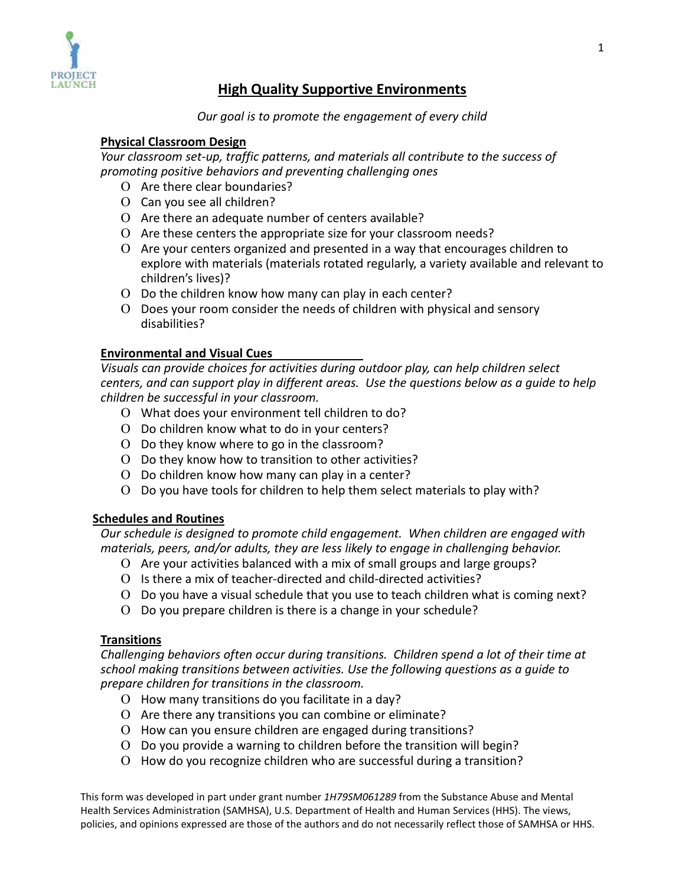

# **High Quality Supportive Environments**

## *Our goal is to promote the engagement of every child*

# **Physical Classroom Design**

*Your classroom set-up, traffic patterns, and materials all contribute to the success of promoting positive behaviors and preventing challenging ones*

- Ο Are there clear boundaries?
- Ο Can you see all children?
- Ο Are there an adequate number of centers available?
- Ο Are these centers the appropriate size for your classroom needs?
- Ο Are your centers organized and presented in a way that encourages children to explore with materials (materials rotated regularly, a variety available and relevant to children's lives)?
- Ο Do the children know how many can play in each center?
- Ο Does your room consider the needs of children with physical and sensory disabilities?

## **Environmental and Visual Cues**

*Visuals can provide choices for activities during outdoor play, can help children select centers, and can support play in different areas. Use the questions below as a guide to help children be successful in your classroom.*

- Ο What does your environment tell children to do?
- Ο Do children know what to do in your centers?
- Ο Do they know where to go in the classroom?
- Ο Do they know how to transition to other activities?
- Ο Do children know how many can play in a center?
- Ο Do you have tools for children to help them select materials to play with?

#### **Schedules and Routines**

*Our schedule is designed to promote child engagement. When children are engaged with materials, peers, and/or adults, they are less likely to engage in challenging behavior.*

- Ο Are your activities balanced with a mix of small groups and large groups?
- Ο Is there a mix of teacher-directed and child-directed activities?
- Ο Do you have a visual schedule that you use to teach children what is coming next?
- Ο Do you prepare children is there is a change in your schedule?

#### **Transitions**

*Challenging behaviors often occur during transitions. Children spend a lot of their time at school making transitions between activities. Use the following questions as a guide to prepare children for transitions in the classroom.*

- Ο How many transitions do you facilitate in a day?
- Ο Are there any transitions you can combine or eliminate?
- Ο How can you ensure children are engaged during transitions?
- Ο Do you provide a warning to children before the transition will begin?
- Ο How do you recognize children who are successful during a transition?

This form was developed in part under grant number *1H79SM061289* from the Substance Abuse and Mental Health Services Administration (SAMHSA), U.S. Department of Health and Human Services (HHS). The views, policies, and opinions expressed are those of the authors and do not necessarily reflect those of SAMHSA or HHS.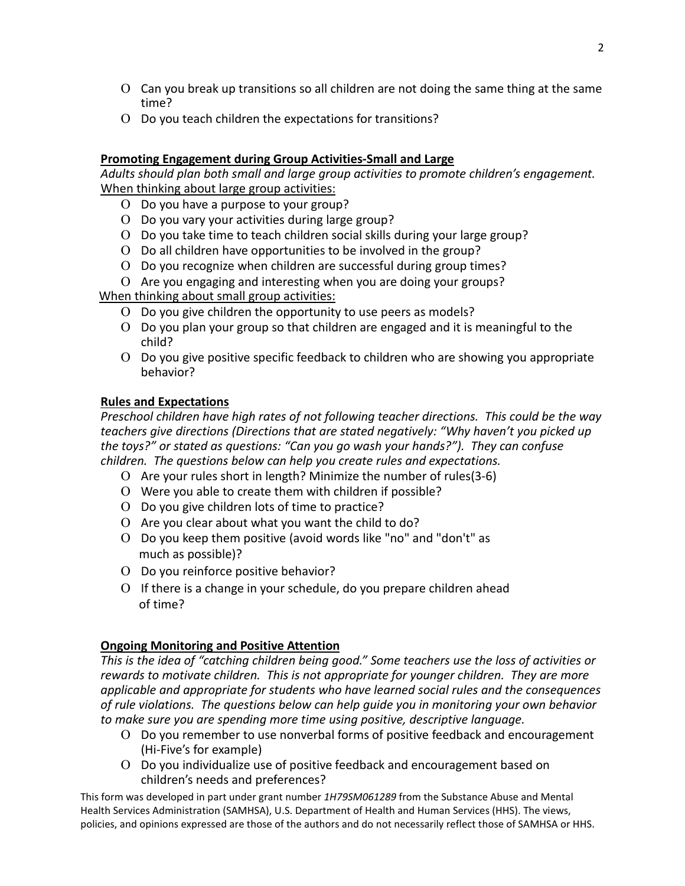- Ο Can you break up transitions so all children are not doing the same thing at the same time?
- Ο Do you teach children the expectations for transitions?

## **Promoting Engagement during Group Activities-Small and Large**

*Adults should plan both small and large group activities to promote children's engagement.*  When thinking about large group activities:

- Ο Do you have a purpose to your group?
- Ο Do you vary your activities during large group?
- Ο Do you take time to teach children social skills during your large group?
- Ο Do all children have opportunities to be involved in the group?
- Ο Do you recognize when children are successful during group times?
- Ο Are you engaging and interesting when you are doing your groups?

When thinking about small group activities:

- Ο Do you give children the opportunity to use peers as models?
- Ο Do you plan your group so that children are engaged and it is meaningful to the child?
- Ο Do you give positive specific feedback to children who are showing you appropriate behavior?

## **Rules and Expectations**

*Preschool children have high rates of not following teacher directions. This could be the way teachers give directions (Directions that are stated negatively: "Why haven't you picked up the toys?" or stated as questions: "Can you go wash your hands?"). They can confuse children. The questions below can help you create rules and expectations.*

- Ο Are your rules short in length? Minimize the number of rules(3-6)
- Ο Were you able to create them with children if possible?
- Ο Do you give children lots of time to practice?
- Ο Are you clear about what you want the child to do?
- Ο Do you keep them positive (avoid words like "no" and "don't" as much as possible)?
- Ο Do you reinforce positive behavior?
- Ο If there is a change in your schedule, do you prepare children ahead of time?

#### **Ongoing Monitoring and Positive Attention**

*This is the idea of "catching children being good." Some teachers use the loss of activities or rewards to motivate children. This is not appropriate for younger children. They are more applicable and appropriate for students who have learned social rules and the consequences of rule violations. The questions below can help guide you in monitoring your own behavior to make sure you are spending more time using positive, descriptive language.*

- Ο Do you remember to use nonverbal forms of positive feedback and encouragement (Hi-Five's for example)
- Ο Do you individualize use of positive feedback and encouragement based on children's needs and preferences?

This form was developed in part under grant number *1H79SM061289* from the Substance Abuse and Mental Health Services Administration (SAMHSA), U.S. Department of Health and Human Services (HHS). The views, policies, and opinions expressed are those of the authors and do not necessarily reflect those of SAMHSA or HHS.